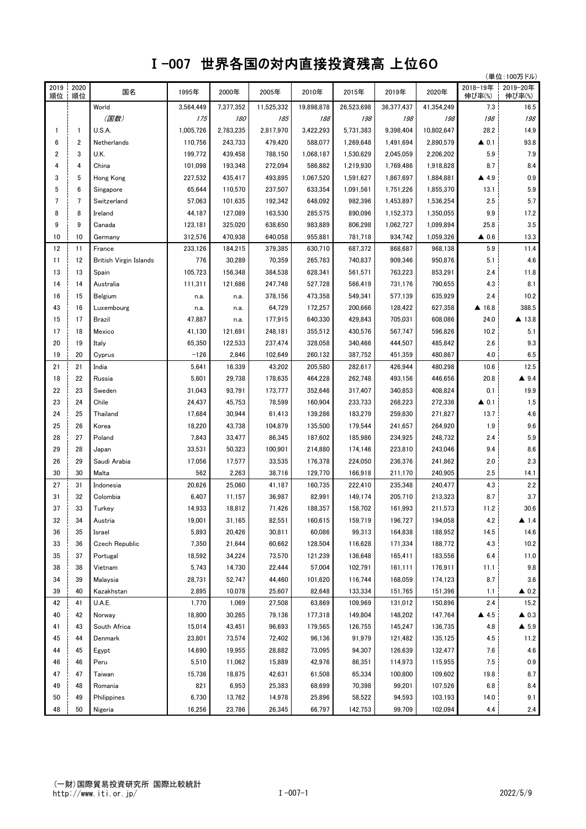## Ⅰ-007 世界各国の対内直接投資残高 上位60

| 2018-19年<br>2019<br>2020<br>2019-20年<br>国名<br>1995年<br>2000年<br>2005年<br>2010年<br>2015年<br>2019年<br>2020年<br>順位<br>伸び率(%)<br>順位<br>伸び率(%)<br>16.5<br>World<br>3,564,449<br>7,377,352<br>11,525,332<br>19,898,878<br>26,523,698<br>36,377,437<br>41,354,249<br>7.3<br>198<br>(国数)<br>198<br>175<br><i><b>180</b></i><br>185<br>188<br>198<br>198<br>198<br>14.9<br>U.S.A.<br>1,005,726<br>2,783,235<br>2,817,970<br>3,422,293<br>5,731,383<br>9,398,404<br>10,802,647<br>28.2<br>$\mathbf{1}$<br>1<br>$\overline{2}$<br>588.077<br>93.8<br>6<br>Netherlands<br>110,756<br>243,733<br>479,420<br>1,269,648<br>1,491,694<br>2,890,579<br>$\triangle$ 0.1<br>7.9<br>2<br>3<br>199,772<br>439,458<br>5.9<br>U.K.<br>788,150<br>1,068,187<br>1,530,629<br>2,045,059<br>2,206,202<br>4<br>272,094<br>8.7<br>8.4<br>4<br>China<br>101,098<br>193,348<br>586,882<br>1,219,930<br>1,769,486<br>1,918,828<br>0.9<br>3<br>5<br>Hong Kong<br>227,532<br>435,417<br>493,895<br>1,067,520<br>1,591,627<br>1,867,697<br>1,884,881<br>$\blacktriangle$ 4.9<br>5.9<br>5<br>6<br>65,644<br>237,507<br>110,570<br>633,354<br>1,091,561<br>1,751,226<br>1,855,370<br>13.1<br>Singapore<br>5.7<br>7<br>$\overline{7}$<br>57,063<br>2.5<br>101,635<br>192,342<br>648,092<br>982,396<br>1,453,897<br>1,536,254<br>Switzerland<br>8<br>8<br>890,096<br>9.9<br>17.2<br>44,187<br>127,089<br>163,530<br>285,575<br>1,152,373<br>1,350,055<br>Ireland<br>3.5<br>9<br>9<br>325,020<br>638,650<br>983,889<br>806,298<br>25.8<br>123,181<br>1,062,727<br>1,099,894<br>Canada<br>934,742<br>13.3<br>10<br>312,576<br>470,938<br>640,058<br>955,881<br>781,718<br>1,059,326<br>$\triangle$ 0.6<br>10<br>Germany<br>11.4<br>12<br>233,126<br>379,385<br>630,710<br>687,372<br>868,687<br>5.9<br>11<br>France<br>184,215<br>968,138<br>4.6<br>70,359<br>265,783<br>740,837<br>909,346<br>5.1<br>11<br>12<br>British Virgin Islands<br>776<br>30,289<br>950,876<br>13<br>105,723<br>384,538<br>11.8<br>13<br>156,348<br>628,341<br>561,571<br>763,223<br>853,291<br>2.4<br>Spain<br>731,176<br>4.3<br>8.1<br>14<br>Australia<br>111,311<br>121,686<br>247,748<br>527,728<br>566,419<br>790,655<br>14<br>577,139<br>10.2<br>16<br>15<br>Belgium<br>378,156<br>473,358<br>549,341<br>635,929<br>2.4<br>n.a.<br>n.a.<br>43<br>64,729<br>627,358<br>388.5<br>16<br>Luxembourg<br>172,257<br>200,666<br>128,422<br>▲ 16.8<br>n.a.<br>n.a.<br>705,031<br>▲ 13.8<br>15<br>17<br>Brazil<br>47,887<br>177,915<br>640,330<br>429,843<br>608,086<br>24.0<br>n.a.<br>17<br>355,512<br>430,576<br>567,747<br>10.2<br>5.1<br>18<br>Mexico<br>41,130<br>121,691<br>248,181<br>596,826<br>9.3<br>20<br>65,350<br>340,466<br>2.6<br>19<br>122,533<br>237,474<br>328,058<br>444,507<br>485,842<br>Italy<br>$-126$<br>6.5<br>19<br>20<br>2,846<br>102,649<br>260,132<br>387,752<br>451,359<br>480,867<br>4.0<br>Cyprus<br>12.5<br>21<br>21<br>5,641<br>16,339<br>43,202<br>205,580<br>282,617<br>426,944<br>480,298<br>10.6<br>India<br>18<br>5,601<br>262,748<br>493,156<br>20.8<br>$\triangle$ 9.4<br>22<br>29,738<br>178,635<br>464,228<br>446,656<br>Russia<br>19.9<br>340,853<br>22<br>23<br>31,043<br>93,791<br>173,777<br>352,646<br>317,407<br>408,824<br>0.1<br>Sweden<br>1.5<br>23<br>24<br>78,599<br>233,733<br>268,223<br>Chile<br>24,437<br>45,753<br>160,904<br>272,336<br>$\triangle$ 0.1<br>4.6<br>13.7<br>24<br>25<br>17,684<br>30,944<br>61,413<br>139,286<br>183,279<br>259,830<br>271,827<br>Thailand<br>9.6<br>18,220<br>1.9<br>25<br>26<br>43,738<br>104,879<br>135,500<br>179,544<br>241,657<br>264,920<br>Korea<br>5.9<br>28<br>27<br>86,345<br>185,986<br>234,925<br>Poland<br>7,843<br>33,477<br>187,602<br>248,732<br>2.4<br>8.6<br>33,531<br>223,810<br>29<br>28<br>50,323<br>100,901<br>214,880<br>174,146<br>243,046<br>9.4<br>Japan<br>33,535<br>236,376<br>2.3<br>26<br>29<br>Saudi Arabia<br>17,056<br>17,577<br>176,378<br>224,050<br>241,862<br>2.0<br>562<br>38,716<br>240,905<br>2.5<br>14.1<br>30<br>30<br>Malta<br>2,263<br>129,770<br>166,918<br>211,170<br>2.2<br>20,626<br>160,735<br>235,348<br>4.3<br>27<br>31<br>Indonesia<br>25,060<br>41,187<br>222,410<br>240,477<br>3.7<br>31<br>6,407<br>36,987<br>82,991<br>149,174<br>205,710<br>8.7<br>32<br>Colombia<br>11,157<br>213,323<br>37<br>33<br>14,933<br>188,357<br>211,573<br>30.6<br>Turkey<br>18,812<br>71,426<br>158,702<br>161,993<br>11.2<br>32<br>34<br>19,001<br>82,551<br>196,727<br>194,058<br>4.2<br>31,165<br>160,615<br>159,719<br>$\blacktriangle$ 1.4<br>Austria<br>5,893<br>14.5<br>14.6<br>36<br>35<br>20,426<br>30,811<br>60,086<br>99,313<br>164,838<br>188,952<br>Israel<br>7,350<br>$10.2\,$<br>33<br>36<br>Czech Republic<br>21,644<br>60,662<br>128,504<br>116,628<br>171,334<br>188,772<br>4.3<br>35<br>18,592<br>34,224<br>73,570<br>121,239<br>136,648<br>165,411<br>183,556<br>6.4<br>11.0<br>37<br>Portugal<br>5,743<br>57,004<br>$9.8\,$<br>38<br>38<br>14,730<br>22,444<br>102,791<br>161,111<br>176,911<br>Vietnam<br>11.1<br>28,731<br>34<br>52,747<br>44,460<br>101,620<br>116,744<br>168,059<br>174,123<br>8.7<br>3.6<br>39<br>Malaysia<br>39<br>2,895<br>10,078<br>25,607<br>82,648<br>133,334<br>151,765<br>151,396<br>40<br>Kazakhstan<br>1.1<br>$\triangle$ 0.2<br>42<br>1,770<br>15.2<br>U.A.E.<br>1,069<br>27,508<br>63,869<br>109,969<br>131,012<br>150,896<br>2.4<br>41<br>40<br>18,800<br>30,265<br>79,136<br>177,318<br>149,804<br>148,202<br>147,764<br>$\triangle$ 4.5<br>$\triangle$ 0.3<br>42<br>Norway<br>41<br>43<br>15,014<br>43,451<br>96,693<br>179,565<br>126,755<br>145,247<br>136,735<br>4.8<br>$\blacktriangle$ 5.9<br>South Africa<br>45<br>23,801<br>73,574<br>72,402<br>96,136<br>91,979<br>121,482<br>135,125<br>4.5<br>11.2<br>44<br>Denmark<br>$4.6\,$<br>44<br>14,690<br>19,955<br>28,882<br>73,095<br>94,307<br>126,639<br>132,477<br>7.6<br>45<br>Egypt<br>42,976<br>7.5<br>$0.9\,$<br>46<br>46<br>5,510<br>11,062<br>15,889<br>86,351<br>114,973<br>115,955<br>Peru<br>47<br>61,508<br>8.7<br>47<br>15,736<br>18,875<br>42,631<br>65,334<br>100,800<br>109,602<br>19.8<br>Taiwan<br>49<br>821<br>6,953<br>25,383<br>68,699<br>70,398<br>99,201<br>107,526<br>6.8<br>8.4<br>48<br>Romania<br>50<br>6,730<br>13,762<br>14,978<br>25,896<br>58,522<br>94,593<br>103,193<br>14.0<br>9.1<br>49<br>Philippines |    |    |         |        |        |        |        |         |        |         |     | (単位:100万ドル) |
|----------------------------------------------------------------------------------------------------------------------------------------------------------------------------------------------------------------------------------------------------------------------------------------------------------------------------------------------------------------------------------------------------------------------------------------------------------------------------------------------------------------------------------------------------------------------------------------------------------------------------------------------------------------------------------------------------------------------------------------------------------------------------------------------------------------------------------------------------------------------------------------------------------------------------------------------------------------------------------------------------------------------------------------------------------------------------------------------------------------------------------------------------------------------------------------------------------------------------------------------------------------------------------------------------------------------------------------------------------------------------------------------------------------------------------------------------------------------------------------------------------------------------------------------------------------------------------------------------------------------------------------------------------------------------------------------------------------------------------------------------------------------------------------------------------------------------------------------------------------------------------------------------------------------------------------------------------------------------------------------------------------------------------------------------------------------------------------------------------------------------------------------------------------------------------------------------------------------------------------------------------------------------------------------------------------------------------------------------------------------------------------------------------------------------------------------------------------------------------------------------------------------------------------------------------------------------------------------------------------------------------------------------------------------------------------------------------------------------------------------------------------------------------------------------------------------------------------------------------------------------------------------------------------------------------------------------------------------------------------------------------------------------------------------------------------------------------------------------------------------------------------------------------------------------------------------------------------------------------------------------------------------------------------------------------------------------------------------------------------------------------------------------------------------------------------------------------------------------------------------------------------------------------------------------------------------------------------------------------------------------------------------------------------------------------------------------------------------------------------------------------------------------------------------------------------------------------------------------------------------------------------------------------------------------------------------------------------------------------------------------------------------------------------------------------------------------------------------------------------------------------------------------------------------------------------------------------------------------------------------------------------------------------------------------------------------------------------------------------------------------------------------------------------------------------------------------------------------------------------------------------------------------------------------------------------------------------------------------------------------------------------------------------------------------------------------------------------------------------------------------------------------------------------------------------------------------------------------------------------------------------------------------------------------------------------------------------------------------------------------------------------------------------------------------------------------------------------------------------------------------------------------------------------------------------------------------------------------------------------------------------------------------------------------------------------------------------------------------------------------------------------------------------------------------------------------------------------------------------------------------------------------------------------------------------------------------------------------------------------------------------------------------------------------------------------------------------------------------------------------------------------------------------------------------------------------------------------------------------------------------------------------------------------------------------------------------------------------------------------------------------------------------------------------------------------------------------------------------------------------------------------------------------------------------------------------------------------------------------------------------------------------------------------------------------------------|----|----|---------|--------|--------|--------|--------|---------|--------|---------|-----|-------------|
|                                                                                                                                                                                                                                                                                                                                                                                                                                                                                                                                                                                                                                                                                                                                                                                                                                                                                                                                                                                                                                                                                                                                                                                                                                                                                                                                                                                                                                                                                                                                                                                                                                                                                                                                                                                                                                                                                                                                                                                                                                                                                                                                                                                                                                                                                                                                                                                                                                                                                                                                                                                                                                                                                                                                                                                                                                                                                                                                                                                                                                                                                                                                                                                                                                                                                                                                                                                                                                                                                                                                                                                                                                                                                                                                                                                                                                                                                                                                                                                                                                                                                                                                                                                                                                                                                                                                                                                                                                                                                                                                                                                                                                                                                                                                                                                                                                                                                                                                                                                                                                                                                                                                                                                                                                                                                                                                                                                                                                                                                                                                                                                                                                                                                                                                                                                                                                                                                                                                                                                                                                                                                                                                                                                                                                                                                                                      |    |    |         |        |        |        |        |         |        |         |     |             |
|                                                                                                                                                                                                                                                                                                                                                                                                                                                                                                                                                                                                                                                                                                                                                                                                                                                                                                                                                                                                                                                                                                                                                                                                                                                                                                                                                                                                                                                                                                                                                                                                                                                                                                                                                                                                                                                                                                                                                                                                                                                                                                                                                                                                                                                                                                                                                                                                                                                                                                                                                                                                                                                                                                                                                                                                                                                                                                                                                                                                                                                                                                                                                                                                                                                                                                                                                                                                                                                                                                                                                                                                                                                                                                                                                                                                                                                                                                                                                                                                                                                                                                                                                                                                                                                                                                                                                                                                                                                                                                                                                                                                                                                                                                                                                                                                                                                                                                                                                                                                                                                                                                                                                                                                                                                                                                                                                                                                                                                                                                                                                                                                                                                                                                                                                                                                                                                                                                                                                                                                                                                                                                                                                                                                                                                                                                                      |    |    |         |        |        |        |        |         |        |         |     |             |
|                                                                                                                                                                                                                                                                                                                                                                                                                                                                                                                                                                                                                                                                                                                                                                                                                                                                                                                                                                                                                                                                                                                                                                                                                                                                                                                                                                                                                                                                                                                                                                                                                                                                                                                                                                                                                                                                                                                                                                                                                                                                                                                                                                                                                                                                                                                                                                                                                                                                                                                                                                                                                                                                                                                                                                                                                                                                                                                                                                                                                                                                                                                                                                                                                                                                                                                                                                                                                                                                                                                                                                                                                                                                                                                                                                                                                                                                                                                                                                                                                                                                                                                                                                                                                                                                                                                                                                                                                                                                                                                                                                                                                                                                                                                                                                                                                                                                                                                                                                                                                                                                                                                                                                                                                                                                                                                                                                                                                                                                                                                                                                                                                                                                                                                                                                                                                                                                                                                                                                                                                                                                                                                                                                                                                                                                                                                      |    |    |         |        |        |        |        |         |        |         |     |             |
|                                                                                                                                                                                                                                                                                                                                                                                                                                                                                                                                                                                                                                                                                                                                                                                                                                                                                                                                                                                                                                                                                                                                                                                                                                                                                                                                                                                                                                                                                                                                                                                                                                                                                                                                                                                                                                                                                                                                                                                                                                                                                                                                                                                                                                                                                                                                                                                                                                                                                                                                                                                                                                                                                                                                                                                                                                                                                                                                                                                                                                                                                                                                                                                                                                                                                                                                                                                                                                                                                                                                                                                                                                                                                                                                                                                                                                                                                                                                                                                                                                                                                                                                                                                                                                                                                                                                                                                                                                                                                                                                                                                                                                                                                                                                                                                                                                                                                                                                                                                                                                                                                                                                                                                                                                                                                                                                                                                                                                                                                                                                                                                                                                                                                                                                                                                                                                                                                                                                                                                                                                                                                                                                                                                                                                                                                                                      |    |    |         |        |        |        |        |         |        |         |     |             |
|                                                                                                                                                                                                                                                                                                                                                                                                                                                                                                                                                                                                                                                                                                                                                                                                                                                                                                                                                                                                                                                                                                                                                                                                                                                                                                                                                                                                                                                                                                                                                                                                                                                                                                                                                                                                                                                                                                                                                                                                                                                                                                                                                                                                                                                                                                                                                                                                                                                                                                                                                                                                                                                                                                                                                                                                                                                                                                                                                                                                                                                                                                                                                                                                                                                                                                                                                                                                                                                                                                                                                                                                                                                                                                                                                                                                                                                                                                                                                                                                                                                                                                                                                                                                                                                                                                                                                                                                                                                                                                                                                                                                                                                                                                                                                                                                                                                                                                                                                                                                                                                                                                                                                                                                                                                                                                                                                                                                                                                                                                                                                                                                                                                                                                                                                                                                                                                                                                                                                                                                                                                                                                                                                                                                                                                                                                                      |    |    |         |        |        |        |        |         |        |         |     |             |
|                                                                                                                                                                                                                                                                                                                                                                                                                                                                                                                                                                                                                                                                                                                                                                                                                                                                                                                                                                                                                                                                                                                                                                                                                                                                                                                                                                                                                                                                                                                                                                                                                                                                                                                                                                                                                                                                                                                                                                                                                                                                                                                                                                                                                                                                                                                                                                                                                                                                                                                                                                                                                                                                                                                                                                                                                                                                                                                                                                                                                                                                                                                                                                                                                                                                                                                                                                                                                                                                                                                                                                                                                                                                                                                                                                                                                                                                                                                                                                                                                                                                                                                                                                                                                                                                                                                                                                                                                                                                                                                                                                                                                                                                                                                                                                                                                                                                                                                                                                                                                                                                                                                                                                                                                                                                                                                                                                                                                                                                                                                                                                                                                                                                                                                                                                                                                                                                                                                                                                                                                                                                                                                                                                                                                                                                                                                      |    |    |         |        |        |        |        |         |        |         |     |             |
|                                                                                                                                                                                                                                                                                                                                                                                                                                                                                                                                                                                                                                                                                                                                                                                                                                                                                                                                                                                                                                                                                                                                                                                                                                                                                                                                                                                                                                                                                                                                                                                                                                                                                                                                                                                                                                                                                                                                                                                                                                                                                                                                                                                                                                                                                                                                                                                                                                                                                                                                                                                                                                                                                                                                                                                                                                                                                                                                                                                                                                                                                                                                                                                                                                                                                                                                                                                                                                                                                                                                                                                                                                                                                                                                                                                                                                                                                                                                                                                                                                                                                                                                                                                                                                                                                                                                                                                                                                                                                                                                                                                                                                                                                                                                                                                                                                                                                                                                                                                                                                                                                                                                                                                                                                                                                                                                                                                                                                                                                                                                                                                                                                                                                                                                                                                                                                                                                                                                                                                                                                                                                                                                                                                                                                                                                                                      |    |    |         |        |        |        |        |         |        |         |     |             |
|                                                                                                                                                                                                                                                                                                                                                                                                                                                                                                                                                                                                                                                                                                                                                                                                                                                                                                                                                                                                                                                                                                                                                                                                                                                                                                                                                                                                                                                                                                                                                                                                                                                                                                                                                                                                                                                                                                                                                                                                                                                                                                                                                                                                                                                                                                                                                                                                                                                                                                                                                                                                                                                                                                                                                                                                                                                                                                                                                                                                                                                                                                                                                                                                                                                                                                                                                                                                                                                                                                                                                                                                                                                                                                                                                                                                                                                                                                                                                                                                                                                                                                                                                                                                                                                                                                                                                                                                                                                                                                                                                                                                                                                                                                                                                                                                                                                                                                                                                                                                                                                                                                                                                                                                                                                                                                                                                                                                                                                                                                                                                                                                                                                                                                                                                                                                                                                                                                                                                                                                                                                                                                                                                                                                                                                                                                                      |    |    |         |        |        |        |        |         |        |         |     |             |
|                                                                                                                                                                                                                                                                                                                                                                                                                                                                                                                                                                                                                                                                                                                                                                                                                                                                                                                                                                                                                                                                                                                                                                                                                                                                                                                                                                                                                                                                                                                                                                                                                                                                                                                                                                                                                                                                                                                                                                                                                                                                                                                                                                                                                                                                                                                                                                                                                                                                                                                                                                                                                                                                                                                                                                                                                                                                                                                                                                                                                                                                                                                                                                                                                                                                                                                                                                                                                                                                                                                                                                                                                                                                                                                                                                                                                                                                                                                                                                                                                                                                                                                                                                                                                                                                                                                                                                                                                                                                                                                                                                                                                                                                                                                                                                                                                                                                                                                                                                                                                                                                                                                                                                                                                                                                                                                                                                                                                                                                                                                                                                                                                                                                                                                                                                                                                                                                                                                                                                                                                                                                                                                                                                                                                                                                                                                      |    |    |         |        |        |        |        |         |        |         |     |             |
|                                                                                                                                                                                                                                                                                                                                                                                                                                                                                                                                                                                                                                                                                                                                                                                                                                                                                                                                                                                                                                                                                                                                                                                                                                                                                                                                                                                                                                                                                                                                                                                                                                                                                                                                                                                                                                                                                                                                                                                                                                                                                                                                                                                                                                                                                                                                                                                                                                                                                                                                                                                                                                                                                                                                                                                                                                                                                                                                                                                                                                                                                                                                                                                                                                                                                                                                                                                                                                                                                                                                                                                                                                                                                                                                                                                                                                                                                                                                                                                                                                                                                                                                                                                                                                                                                                                                                                                                                                                                                                                                                                                                                                                                                                                                                                                                                                                                                                                                                                                                                                                                                                                                                                                                                                                                                                                                                                                                                                                                                                                                                                                                                                                                                                                                                                                                                                                                                                                                                                                                                                                                                                                                                                                                                                                                                                                      |    |    |         |        |        |        |        |         |        |         |     |             |
|                                                                                                                                                                                                                                                                                                                                                                                                                                                                                                                                                                                                                                                                                                                                                                                                                                                                                                                                                                                                                                                                                                                                                                                                                                                                                                                                                                                                                                                                                                                                                                                                                                                                                                                                                                                                                                                                                                                                                                                                                                                                                                                                                                                                                                                                                                                                                                                                                                                                                                                                                                                                                                                                                                                                                                                                                                                                                                                                                                                                                                                                                                                                                                                                                                                                                                                                                                                                                                                                                                                                                                                                                                                                                                                                                                                                                                                                                                                                                                                                                                                                                                                                                                                                                                                                                                                                                                                                                                                                                                                                                                                                                                                                                                                                                                                                                                                                                                                                                                                                                                                                                                                                                                                                                                                                                                                                                                                                                                                                                                                                                                                                                                                                                                                                                                                                                                                                                                                                                                                                                                                                                                                                                                                                                                                                                                                      |    |    |         |        |        |        |        |         |        |         |     |             |
|                                                                                                                                                                                                                                                                                                                                                                                                                                                                                                                                                                                                                                                                                                                                                                                                                                                                                                                                                                                                                                                                                                                                                                                                                                                                                                                                                                                                                                                                                                                                                                                                                                                                                                                                                                                                                                                                                                                                                                                                                                                                                                                                                                                                                                                                                                                                                                                                                                                                                                                                                                                                                                                                                                                                                                                                                                                                                                                                                                                                                                                                                                                                                                                                                                                                                                                                                                                                                                                                                                                                                                                                                                                                                                                                                                                                                                                                                                                                                                                                                                                                                                                                                                                                                                                                                                                                                                                                                                                                                                                                                                                                                                                                                                                                                                                                                                                                                                                                                                                                                                                                                                                                                                                                                                                                                                                                                                                                                                                                                                                                                                                                                                                                                                                                                                                                                                                                                                                                                                                                                                                                                                                                                                                                                                                                                                                      |    |    |         |        |        |        |        |         |        |         |     |             |
|                                                                                                                                                                                                                                                                                                                                                                                                                                                                                                                                                                                                                                                                                                                                                                                                                                                                                                                                                                                                                                                                                                                                                                                                                                                                                                                                                                                                                                                                                                                                                                                                                                                                                                                                                                                                                                                                                                                                                                                                                                                                                                                                                                                                                                                                                                                                                                                                                                                                                                                                                                                                                                                                                                                                                                                                                                                                                                                                                                                                                                                                                                                                                                                                                                                                                                                                                                                                                                                                                                                                                                                                                                                                                                                                                                                                                                                                                                                                                                                                                                                                                                                                                                                                                                                                                                                                                                                                                                                                                                                                                                                                                                                                                                                                                                                                                                                                                                                                                                                                                                                                                                                                                                                                                                                                                                                                                                                                                                                                                                                                                                                                                                                                                                                                                                                                                                                                                                                                                                                                                                                                                                                                                                                                                                                                                                                      |    |    |         |        |        |        |        |         |        |         |     |             |
|                                                                                                                                                                                                                                                                                                                                                                                                                                                                                                                                                                                                                                                                                                                                                                                                                                                                                                                                                                                                                                                                                                                                                                                                                                                                                                                                                                                                                                                                                                                                                                                                                                                                                                                                                                                                                                                                                                                                                                                                                                                                                                                                                                                                                                                                                                                                                                                                                                                                                                                                                                                                                                                                                                                                                                                                                                                                                                                                                                                                                                                                                                                                                                                                                                                                                                                                                                                                                                                                                                                                                                                                                                                                                                                                                                                                                                                                                                                                                                                                                                                                                                                                                                                                                                                                                                                                                                                                                                                                                                                                                                                                                                                                                                                                                                                                                                                                                                                                                                                                                                                                                                                                                                                                                                                                                                                                                                                                                                                                                                                                                                                                                                                                                                                                                                                                                                                                                                                                                                                                                                                                                                                                                                                                                                                                                                                      |    |    |         |        |        |        |        |         |        |         |     |             |
|                                                                                                                                                                                                                                                                                                                                                                                                                                                                                                                                                                                                                                                                                                                                                                                                                                                                                                                                                                                                                                                                                                                                                                                                                                                                                                                                                                                                                                                                                                                                                                                                                                                                                                                                                                                                                                                                                                                                                                                                                                                                                                                                                                                                                                                                                                                                                                                                                                                                                                                                                                                                                                                                                                                                                                                                                                                                                                                                                                                                                                                                                                                                                                                                                                                                                                                                                                                                                                                                                                                                                                                                                                                                                                                                                                                                                                                                                                                                                                                                                                                                                                                                                                                                                                                                                                                                                                                                                                                                                                                                                                                                                                                                                                                                                                                                                                                                                                                                                                                                                                                                                                                                                                                                                                                                                                                                                                                                                                                                                                                                                                                                                                                                                                                                                                                                                                                                                                                                                                                                                                                                                                                                                                                                                                                                                                                      |    |    |         |        |        |        |        |         |        |         |     |             |
|                                                                                                                                                                                                                                                                                                                                                                                                                                                                                                                                                                                                                                                                                                                                                                                                                                                                                                                                                                                                                                                                                                                                                                                                                                                                                                                                                                                                                                                                                                                                                                                                                                                                                                                                                                                                                                                                                                                                                                                                                                                                                                                                                                                                                                                                                                                                                                                                                                                                                                                                                                                                                                                                                                                                                                                                                                                                                                                                                                                                                                                                                                                                                                                                                                                                                                                                                                                                                                                                                                                                                                                                                                                                                                                                                                                                                                                                                                                                                                                                                                                                                                                                                                                                                                                                                                                                                                                                                                                                                                                                                                                                                                                                                                                                                                                                                                                                                                                                                                                                                                                                                                                                                                                                                                                                                                                                                                                                                                                                                                                                                                                                                                                                                                                                                                                                                                                                                                                                                                                                                                                                                                                                                                                                                                                                                                                      |    |    |         |        |        |        |        |         |        |         |     |             |
|                                                                                                                                                                                                                                                                                                                                                                                                                                                                                                                                                                                                                                                                                                                                                                                                                                                                                                                                                                                                                                                                                                                                                                                                                                                                                                                                                                                                                                                                                                                                                                                                                                                                                                                                                                                                                                                                                                                                                                                                                                                                                                                                                                                                                                                                                                                                                                                                                                                                                                                                                                                                                                                                                                                                                                                                                                                                                                                                                                                                                                                                                                                                                                                                                                                                                                                                                                                                                                                                                                                                                                                                                                                                                                                                                                                                                                                                                                                                                                                                                                                                                                                                                                                                                                                                                                                                                                                                                                                                                                                                                                                                                                                                                                                                                                                                                                                                                                                                                                                                                                                                                                                                                                                                                                                                                                                                                                                                                                                                                                                                                                                                                                                                                                                                                                                                                                                                                                                                                                                                                                                                                                                                                                                                                                                                                                                      |    |    |         |        |        |        |        |         |        |         |     |             |
|                                                                                                                                                                                                                                                                                                                                                                                                                                                                                                                                                                                                                                                                                                                                                                                                                                                                                                                                                                                                                                                                                                                                                                                                                                                                                                                                                                                                                                                                                                                                                                                                                                                                                                                                                                                                                                                                                                                                                                                                                                                                                                                                                                                                                                                                                                                                                                                                                                                                                                                                                                                                                                                                                                                                                                                                                                                                                                                                                                                                                                                                                                                                                                                                                                                                                                                                                                                                                                                                                                                                                                                                                                                                                                                                                                                                                                                                                                                                                                                                                                                                                                                                                                                                                                                                                                                                                                                                                                                                                                                                                                                                                                                                                                                                                                                                                                                                                                                                                                                                                                                                                                                                                                                                                                                                                                                                                                                                                                                                                                                                                                                                                                                                                                                                                                                                                                                                                                                                                                                                                                                                                                                                                                                                                                                                                                                      |    |    |         |        |        |        |        |         |        |         |     |             |
|                                                                                                                                                                                                                                                                                                                                                                                                                                                                                                                                                                                                                                                                                                                                                                                                                                                                                                                                                                                                                                                                                                                                                                                                                                                                                                                                                                                                                                                                                                                                                                                                                                                                                                                                                                                                                                                                                                                                                                                                                                                                                                                                                                                                                                                                                                                                                                                                                                                                                                                                                                                                                                                                                                                                                                                                                                                                                                                                                                                                                                                                                                                                                                                                                                                                                                                                                                                                                                                                                                                                                                                                                                                                                                                                                                                                                                                                                                                                                                                                                                                                                                                                                                                                                                                                                                                                                                                                                                                                                                                                                                                                                                                                                                                                                                                                                                                                                                                                                                                                                                                                                                                                                                                                                                                                                                                                                                                                                                                                                                                                                                                                                                                                                                                                                                                                                                                                                                                                                                                                                                                                                                                                                                                                                                                                                                                      |    |    |         |        |        |        |        |         |        |         |     |             |
|                                                                                                                                                                                                                                                                                                                                                                                                                                                                                                                                                                                                                                                                                                                                                                                                                                                                                                                                                                                                                                                                                                                                                                                                                                                                                                                                                                                                                                                                                                                                                                                                                                                                                                                                                                                                                                                                                                                                                                                                                                                                                                                                                                                                                                                                                                                                                                                                                                                                                                                                                                                                                                                                                                                                                                                                                                                                                                                                                                                                                                                                                                                                                                                                                                                                                                                                                                                                                                                                                                                                                                                                                                                                                                                                                                                                                                                                                                                                                                                                                                                                                                                                                                                                                                                                                                                                                                                                                                                                                                                                                                                                                                                                                                                                                                                                                                                                                                                                                                                                                                                                                                                                                                                                                                                                                                                                                                                                                                                                                                                                                                                                                                                                                                                                                                                                                                                                                                                                                                                                                                                                                                                                                                                                                                                                                                                      |    |    |         |        |        |        |        |         |        |         |     |             |
|                                                                                                                                                                                                                                                                                                                                                                                                                                                                                                                                                                                                                                                                                                                                                                                                                                                                                                                                                                                                                                                                                                                                                                                                                                                                                                                                                                                                                                                                                                                                                                                                                                                                                                                                                                                                                                                                                                                                                                                                                                                                                                                                                                                                                                                                                                                                                                                                                                                                                                                                                                                                                                                                                                                                                                                                                                                                                                                                                                                                                                                                                                                                                                                                                                                                                                                                                                                                                                                                                                                                                                                                                                                                                                                                                                                                                                                                                                                                                                                                                                                                                                                                                                                                                                                                                                                                                                                                                                                                                                                                                                                                                                                                                                                                                                                                                                                                                                                                                                                                                                                                                                                                                                                                                                                                                                                                                                                                                                                                                                                                                                                                                                                                                                                                                                                                                                                                                                                                                                                                                                                                                                                                                                                                                                                                                                                      |    |    |         |        |        |        |        |         |        |         |     |             |
|                                                                                                                                                                                                                                                                                                                                                                                                                                                                                                                                                                                                                                                                                                                                                                                                                                                                                                                                                                                                                                                                                                                                                                                                                                                                                                                                                                                                                                                                                                                                                                                                                                                                                                                                                                                                                                                                                                                                                                                                                                                                                                                                                                                                                                                                                                                                                                                                                                                                                                                                                                                                                                                                                                                                                                                                                                                                                                                                                                                                                                                                                                                                                                                                                                                                                                                                                                                                                                                                                                                                                                                                                                                                                                                                                                                                                                                                                                                                                                                                                                                                                                                                                                                                                                                                                                                                                                                                                                                                                                                                                                                                                                                                                                                                                                                                                                                                                                                                                                                                                                                                                                                                                                                                                                                                                                                                                                                                                                                                                                                                                                                                                                                                                                                                                                                                                                                                                                                                                                                                                                                                                                                                                                                                                                                                                                                      |    |    |         |        |        |        |        |         |        |         |     |             |
|                                                                                                                                                                                                                                                                                                                                                                                                                                                                                                                                                                                                                                                                                                                                                                                                                                                                                                                                                                                                                                                                                                                                                                                                                                                                                                                                                                                                                                                                                                                                                                                                                                                                                                                                                                                                                                                                                                                                                                                                                                                                                                                                                                                                                                                                                                                                                                                                                                                                                                                                                                                                                                                                                                                                                                                                                                                                                                                                                                                                                                                                                                                                                                                                                                                                                                                                                                                                                                                                                                                                                                                                                                                                                                                                                                                                                                                                                                                                                                                                                                                                                                                                                                                                                                                                                                                                                                                                                                                                                                                                                                                                                                                                                                                                                                                                                                                                                                                                                                                                                                                                                                                                                                                                                                                                                                                                                                                                                                                                                                                                                                                                                                                                                                                                                                                                                                                                                                                                                                                                                                                                                                                                                                                                                                                                                                                      |    |    |         |        |        |        |        |         |        |         |     |             |
|                                                                                                                                                                                                                                                                                                                                                                                                                                                                                                                                                                                                                                                                                                                                                                                                                                                                                                                                                                                                                                                                                                                                                                                                                                                                                                                                                                                                                                                                                                                                                                                                                                                                                                                                                                                                                                                                                                                                                                                                                                                                                                                                                                                                                                                                                                                                                                                                                                                                                                                                                                                                                                                                                                                                                                                                                                                                                                                                                                                                                                                                                                                                                                                                                                                                                                                                                                                                                                                                                                                                                                                                                                                                                                                                                                                                                                                                                                                                                                                                                                                                                                                                                                                                                                                                                                                                                                                                                                                                                                                                                                                                                                                                                                                                                                                                                                                                                                                                                                                                                                                                                                                                                                                                                                                                                                                                                                                                                                                                                                                                                                                                                                                                                                                                                                                                                                                                                                                                                                                                                                                                                                                                                                                                                                                                                                                      |    |    |         |        |        |        |        |         |        |         |     |             |
|                                                                                                                                                                                                                                                                                                                                                                                                                                                                                                                                                                                                                                                                                                                                                                                                                                                                                                                                                                                                                                                                                                                                                                                                                                                                                                                                                                                                                                                                                                                                                                                                                                                                                                                                                                                                                                                                                                                                                                                                                                                                                                                                                                                                                                                                                                                                                                                                                                                                                                                                                                                                                                                                                                                                                                                                                                                                                                                                                                                                                                                                                                                                                                                                                                                                                                                                                                                                                                                                                                                                                                                                                                                                                                                                                                                                                                                                                                                                                                                                                                                                                                                                                                                                                                                                                                                                                                                                                                                                                                                                                                                                                                                                                                                                                                                                                                                                                                                                                                                                                                                                                                                                                                                                                                                                                                                                                                                                                                                                                                                                                                                                                                                                                                                                                                                                                                                                                                                                                                                                                                                                                                                                                                                                                                                                                                                      |    |    |         |        |        |        |        |         |        |         |     |             |
|                                                                                                                                                                                                                                                                                                                                                                                                                                                                                                                                                                                                                                                                                                                                                                                                                                                                                                                                                                                                                                                                                                                                                                                                                                                                                                                                                                                                                                                                                                                                                                                                                                                                                                                                                                                                                                                                                                                                                                                                                                                                                                                                                                                                                                                                                                                                                                                                                                                                                                                                                                                                                                                                                                                                                                                                                                                                                                                                                                                                                                                                                                                                                                                                                                                                                                                                                                                                                                                                                                                                                                                                                                                                                                                                                                                                                                                                                                                                                                                                                                                                                                                                                                                                                                                                                                                                                                                                                                                                                                                                                                                                                                                                                                                                                                                                                                                                                                                                                                                                                                                                                                                                                                                                                                                                                                                                                                                                                                                                                                                                                                                                                                                                                                                                                                                                                                                                                                                                                                                                                                                                                                                                                                                                                                                                                                                      |    |    |         |        |        |        |        |         |        |         |     |             |
|                                                                                                                                                                                                                                                                                                                                                                                                                                                                                                                                                                                                                                                                                                                                                                                                                                                                                                                                                                                                                                                                                                                                                                                                                                                                                                                                                                                                                                                                                                                                                                                                                                                                                                                                                                                                                                                                                                                                                                                                                                                                                                                                                                                                                                                                                                                                                                                                                                                                                                                                                                                                                                                                                                                                                                                                                                                                                                                                                                                                                                                                                                                                                                                                                                                                                                                                                                                                                                                                                                                                                                                                                                                                                                                                                                                                                                                                                                                                                                                                                                                                                                                                                                                                                                                                                                                                                                                                                                                                                                                                                                                                                                                                                                                                                                                                                                                                                                                                                                                                                                                                                                                                                                                                                                                                                                                                                                                                                                                                                                                                                                                                                                                                                                                                                                                                                                                                                                                                                                                                                                                                                                                                                                                                                                                                                                                      |    |    |         |        |        |        |        |         |        |         |     |             |
|                                                                                                                                                                                                                                                                                                                                                                                                                                                                                                                                                                                                                                                                                                                                                                                                                                                                                                                                                                                                                                                                                                                                                                                                                                                                                                                                                                                                                                                                                                                                                                                                                                                                                                                                                                                                                                                                                                                                                                                                                                                                                                                                                                                                                                                                                                                                                                                                                                                                                                                                                                                                                                                                                                                                                                                                                                                                                                                                                                                                                                                                                                                                                                                                                                                                                                                                                                                                                                                                                                                                                                                                                                                                                                                                                                                                                                                                                                                                                                                                                                                                                                                                                                                                                                                                                                                                                                                                                                                                                                                                                                                                                                                                                                                                                                                                                                                                                                                                                                                                                                                                                                                                                                                                                                                                                                                                                                                                                                                                                                                                                                                                                                                                                                                                                                                                                                                                                                                                                                                                                                                                                                                                                                                                                                                                                                                      |    |    |         |        |        |        |        |         |        |         |     |             |
|                                                                                                                                                                                                                                                                                                                                                                                                                                                                                                                                                                                                                                                                                                                                                                                                                                                                                                                                                                                                                                                                                                                                                                                                                                                                                                                                                                                                                                                                                                                                                                                                                                                                                                                                                                                                                                                                                                                                                                                                                                                                                                                                                                                                                                                                                                                                                                                                                                                                                                                                                                                                                                                                                                                                                                                                                                                                                                                                                                                                                                                                                                                                                                                                                                                                                                                                                                                                                                                                                                                                                                                                                                                                                                                                                                                                                                                                                                                                                                                                                                                                                                                                                                                                                                                                                                                                                                                                                                                                                                                                                                                                                                                                                                                                                                                                                                                                                                                                                                                                                                                                                                                                                                                                                                                                                                                                                                                                                                                                                                                                                                                                                                                                                                                                                                                                                                                                                                                                                                                                                                                                                                                                                                                                                                                                                                                      |    |    |         |        |        |        |        |         |        |         |     |             |
|                                                                                                                                                                                                                                                                                                                                                                                                                                                                                                                                                                                                                                                                                                                                                                                                                                                                                                                                                                                                                                                                                                                                                                                                                                                                                                                                                                                                                                                                                                                                                                                                                                                                                                                                                                                                                                                                                                                                                                                                                                                                                                                                                                                                                                                                                                                                                                                                                                                                                                                                                                                                                                                                                                                                                                                                                                                                                                                                                                                                                                                                                                                                                                                                                                                                                                                                                                                                                                                                                                                                                                                                                                                                                                                                                                                                                                                                                                                                                                                                                                                                                                                                                                                                                                                                                                                                                                                                                                                                                                                                                                                                                                                                                                                                                                                                                                                                                                                                                                                                                                                                                                                                                                                                                                                                                                                                                                                                                                                                                                                                                                                                                                                                                                                                                                                                                                                                                                                                                                                                                                                                                                                                                                                                                                                                                                                      |    |    |         |        |        |        |        |         |        |         |     |             |
|                                                                                                                                                                                                                                                                                                                                                                                                                                                                                                                                                                                                                                                                                                                                                                                                                                                                                                                                                                                                                                                                                                                                                                                                                                                                                                                                                                                                                                                                                                                                                                                                                                                                                                                                                                                                                                                                                                                                                                                                                                                                                                                                                                                                                                                                                                                                                                                                                                                                                                                                                                                                                                                                                                                                                                                                                                                                                                                                                                                                                                                                                                                                                                                                                                                                                                                                                                                                                                                                                                                                                                                                                                                                                                                                                                                                                                                                                                                                                                                                                                                                                                                                                                                                                                                                                                                                                                                                                                                                                                                                                                                                                                                                                                                                                                                                                                                                                                                                                                                                                                                                                                                                                                                                                                                                                                                                                                                                                                                                                                                                                                                                                                                                                                                                                                                                                                                                                                                                                                                                                                                                                                                                                                                                                                                                                                                      |    |    |         |        |        |        |        |         |        |         |     |             |
|                                                                                                                                                                                                                                                                                                                                                                                                                                                                                                                                                                                                                                                                                                                                                                                                                                                                                                                                                                                                                                                                                                                                                                                                                                                                                                                                                                                                                                                                                                                                                                                                                                                                                                                                                                                                                                                                                                                                                                                                                                                                                                                                                                                                                                                                                                                                                                                                                                                                                                                                                                                                                                                                                                                                                                                                                                                                                                                                                                                                                                                                                                                                                                                                                                                                                                                                                                                                                                                                                                                                                                                                                                                                                                                                                                                                                                                                                                                                                                                                                                                                                                                                                                                                                                                                                                                                                                                                                                                                                                                                                                                                                                                                                                                                                                                                                                                                                                                                                                                                                                                                                                                                                                                                                                                                                                                                                                                                                                                                                                                                                                                                                                                                                                                                                                                                                                                                                                                                                                                                                                                                                                                                                                                                                                                                                                                      |    |    |         |        |        |        |        |         |        |         |     |             |
|                                                                                                                                                                                                                                                                                                                                                                                                                                                                                                                                                                                                                                                                                                                                                                                                                                                                                                                                                                                                                                                                                                                                                                                                                                                                                                                                                                                                                                                                                                                                                                                                                                                                                                                                                                                                                                                                                                                                                                                                                                                                                                                                                                                                                                                                                                                                                                                                                                                                                                                                                                                                                                                                                                                                                                                                                                                                                                                                                                                                                                                                                                                                                                                                                                                                                                                                                                                                                                                                                                                                                                                                                                                                                                                                                                                                                                                                                                                                                                                                                                                                                                                                                                                                                                                                                                                                                                                                                                                                                                                                                                                                                                                                                                                                                                                                                                                                                                                                                                                                                                                                                                                                                                                                                                                                                                                                                                                                                                                                                                                                                                                                                                                                                                                                                                                                                                                                                                                                                                                                                                                                                                                                                                                                                                                                                                                      |    |    |         |        |        |        |        |         |        |         |     |             |
|                                                                                                                                                                                                                                                                                                                                                                                                                                                                                                                                                                                                                                                                                                                                                                                                                                                                                                                                                                                                                                                                                                                                                                                                                                                                                                                                                                                                                                                                                                                                                                                                                                                                                                                                                                                                                                                                                                                                                                                                                                                                                                                                                                                                                                                                                                                                                                                                                                                                                                                                                                                                                                                                                                                                                                                                                                                                                                                                                                                                                                                                                                                                                                                                                                                                                                                                                                                                                                                                                                                                                                                                                                                                                                                                                                                                                                                                                                                                                                                                                                                                                                                                                                                                                                                                                                                                                                                                                                                                                                                                                                                                                                                                                                                                                                                                                                                                                                                                                                                                                                                                                                                                                                                                                                                                                                                                                                                                                                                                                                                                                                                                                                                                                                                                                                                                                                                                                                                                                                                                                                                                                                                                                                                                                                                                                                                      |    |    |         |        |        |        |        |         |        |         |     |             |
|                                                                                                                                                                                                                                                                                                                                                                                                                                                                                                                                                                                                                                                                                                                                                                                                                                                                                                                                                                                                                                                                                                                                                                                                                                                                                                                                                                                                                                                                                                                                                                                                                                                                                                                                                                                                                                                                                                                                                                                                                                                                                                                                                                                                                                                                                                                                                                                                                                                                                                                                                                                                                                                                                                                                                                                                                                                                                                                                                                                                                                                                                                                                                                                                                                                                                                                                                                                                                                                                                                                                                                                                                                                                                                                                                                                                                                                                                                                                                                                                                                                                                                                                                                                                                                                                                                                                                                                                                                                                                                                                                                                                                                                                                                                                                                                                                                                                                                                                                                                                                                                                                                                                                                                                                                                                                                                                                                                                                                                                                                                                                                                                                                                                                                                                                                                                                                                                                                                                                                                                                                                                                                                                                                                                                                                                                                                      |    |    |         |        |        |        |        |         |        |         |     |             |
|                                                                                                                                                                                                                                                                                                                                                                                                                                                                                                                                                                                                                                                                                                                                                                                                                                                                                                                                                                                                                                                                                                                                                                                                                                                                                                                                                                                                                                                                                                                                                                                                                                                                                                                                                                                                                                                                                                                                                                                                                                                                                                                                                                                                                                                                                                                                                                                                                                                                                                                                                                                                                                                                                                                                                                                                                                                                                                                                                                                                                                                                                                                                                                                                                                                                                                                                                                                                                                                                                                                                                                                                                                                                                                                                                                                                                                                                                                                                                                                                                                                                                                                                                                                                                                                                                                                                                                                                                                                                                                                                                                                                                                                                                                                                                                                                                                                                                                                                                                                                                                                                                                                                                                                                                                                                                                                                                                                                                                                                                                                                                                                                                                                                                                                                                                                                                                                                                                                                                                                                                                                                                                                                                                                                                                                                                                                      |    |    |         |        |        |        |        |         |        |         |     |             |
|                                                                                                                                                                                                                                                                                                                                                                                                                                                                                                                                                                                                                                                                                                                                                                                                                                                                                                                                                                                                                                                                                                                                                                                                                                                                                                                                                                                                                                                                                                                                                                                                                                                                                                                                                                                                                                                                                                                                                                                                                                                                                                                                                                                                                                                                                                                                                                                                                                                                                                                                                                                                                                                                                                                                                                                                                                                                                                                                                                                                                                                                                                                                                                                                                                                                                                                                                                                                                                                                                                                                                                                                                                                                                                                                                                                                                                                                                                                                                                                                                                                                                                                                                                                                                                                                                                                                                                                                                                                                                                                                                                                                                                                                                                                                                                                                                                                                                                                                                                                                                                                                                                                                                                                                                                                                                                                                                                                                                                                                                                                                                                                                                                                                                                                                                                                                                                                                                                                                                                                                                                                                                                                                                                                                                                                                                                                      |    |    |         |        |        |        |        |         |        |         |     |             |
|                                                                                                                                                                                                                                                                                                                                                                                                                                                                                                                                                                                                                                                                                                                                                                                                                                                                                                                                                                                                                                                                                                                                                                                                                                                                                                                                                                                                                                                                                                                                                                                                                                                                                                                                                                                                                                                                                                                                                                                                                                                                                                                                                                                                                                                                                                                                                                                                                                                                                                                                                                                                                                                                                                                                                                                                                                                                                                                                                                                                                                                                                                                                                                                                                                                                                                                                                                                                                                                                                                                                                                                                                                                                                                                                                                                                                                                                                                                                                                                                                                                                                                                                                                                                                                                                                                                                                                                                                                                                                                                                                                                                                                                                                                                                                                                                                                                                                                                                                                                                                                                                                                                                                                                                                                                                                                                                                                                                                                                                                                                                                                                                                                                                                                                                                                                                                                                                                                                                                                                                                                                                                                                                                                                                                                                                                                                      |    |    |         |        |        |        |        |         |        |         |     |             |
|                                                                                                                                                                                                                                                                                                                                                                                                                                                                                                                                                                                                                                                                                                                                                                                                                                                                                                                                                                                                                                                                                                                                                                                                                                                                                                                                                                                                                                                                                                                                                                                                                                                                                                                                                                                                                                                                                                                                                                                                                                                                                                                                                                                                                                                                                                                                                                                                                                                                                                                                                                                                                                                                                                                                                                                                                                                                                                                                                                                                                                                                                                                                                                                                                                                                                                                                                                                                                                                                                                                                                                                                                                                                                                                                                                                                                                                                                                                                                                                                                                                                                                                                                                                                                                                                                                                                                                                                                                                                                                                                                                                                                                                                                                                                                                                                                                                                                                                                                                                                                                                                                                                                                                                                                                                                                                                                                                                                                                                                                                                                                                                                                                                                                                                                                                                                                                                                                                                                                                                                                                                                                                                                                                                                                                                                                                                      |    |    |         |        |        |        |        |         |        |         |     |             |
|                                                                                                                                                                                                                                                                                                                                                                                                                                                                                                                                                                                                                                                                                                                                                                                                                                                                                                                                                                                                                                                                                                                                                                                                                                                                                                                                                                                                                                                                                                                                                                                                                                                                                                                                                                                                                                                                                                                                                                                                                                                                                                                                                                                                                                                                                                                                                                                                                                                                                                                                                                                                                                                                                                                                                                                                                                                                                                                                                                                                                                                                                                                                                                                                                                                                                                                                                                                                                                                                                                                                                                                                                                                                                                                                                                                                                                                                                                                                                                                                                                                                                                                                                                                                                                                                                                                                                                                                                                                                                                                                                                                                                                                                                                                                                                                                                                                                                                                                                                                                                                                                                                                                                                                                                                                                                                                                                                                                                                                                                                                                                                                                                                                                                                                                                                                                                                                                                                                                                                                                                                                                                                                                                                                                                                                                                                                      |    |    |         |        |        |        |        |         |        |         |     |             |
|                                                                                                                                                                                                                                                                                                                                                                                                                                                                                                                                                                                                                                                                                                                                                                                                                                                                                                                                                                                                                                                                                                                                                                                                                                                                                                                                                                                                                                                                                                                                                                                                                                                                                                                                                                                                                                                                                                                                                                                                                                                                                                                                                                                                                                                                                                                                                                                                                                                                                                                                                                                                                                                                                                                                                                                                                                                                                                                                                                                                                                                                                                                                                                                                                                                                                                                                                                                                                                                                                                                                                                                                                                                                                                                                                                                                                                                                                                                                                                                                                                                                                                                                                                                                                                                                                                                                                                                                                                                                                                                                                                                                                                                                                                                                                                                                                                                                                                                                                                                                                                                                                                                                                                                                                                                                                                                                                                                                                                                                                                                                                                                                                                                                                                                                                                                                                                                                                                                                                                                                                                                                                                                                                                                                                                                                                                                      |    |    |         |        |        |        |        |         |        |         |     |             |
|                                                                                                                                                                                                                                                                                                                                                                                                                                                                                                                                                                                                                                                                                                                                                                                                                                                                                                                                                                                                                                                                                                                                                                                                                                                                                                                                                                                                                                                                                                                                                                                                                                                                                                                                                                                                                                                                                                                                                                                                                                                                                                                                                                                                                                                                                                                                                                                                                                                                                                                                                                                                                                                                                                                                                                                                                                                                                                                                                                                                                                                                                                                                                                                                                                                                                                                                                                                                                                                                                                                                                                                                                                                                                                                                                                                                                                                                                                                                                                                                                                                                                                                                                                                                                                                                                                                                                                                                                                                                                                                                                                                                                                                                                                                                                                                                                                                                                                                                                                                                                                                                                                                                                                                                                                                                                                                                                                                                                                                                                                                                                                                                                                                                                                                                                                                                                                                                                                                                                                                                                                                                                                                                                                                                                                                                                                                      |    |    |         |        |        |        |        |         |        |         |     |             |
|                                                                                                                                                                                                                                                                                                                                                                                                                                                                                                                                                                                                                                                                                                                                                                                                                                                                                                                                                                                                                                                                                                                                                                                                                                                                                                                                                                                                                                                                                                                                                                                                                                                                                                                                                                                                                                                                                                                                                                                                                                                                                                                                                                                                                                                                                                                                                                                                                                                                                                                                                                                                                                                                                                                                                                                                                                                                                                                                                                                                                                                                                                                                                                                                                                                                                                                                                                                                                                                                                                                                                                                                                                                                                                                                                                                                                                                                                                                                                                                                                                                                                                                                                                                                                                                                                                                                                                                                                                                                                                                                                                                                                                                                                                                                                                                                                                                                                                                                                                                                                                                                                                                                                                                                                                                                                                                                                                                                                                                                                                                                                                                                                                                                                                                                                                                                                                                                                                                                                                                                                                                                                                                                                                                                                                                                                                                      |    |    |         |        |        |        |        |         |        |         |     |             |
|                                                                                                                                                                                                                                                                                                                                                                                                                                                                                                                                                                                                                                                                                                                                                                                                                                                                                                                                                                                                                                                                                                                                                                                                                                                                                                                                                                                                                                                                                                                                                                                                                                                                                                                                                                                                                                                                                                                                                                                                                                                                                                                                                                                                                                                                                                                                                                                                                                                                                                                                                                                                                                                                                                                                                                                                                                                                                                                                                                                                                                                                                                                                                                                                                                                                                                                                                                                                                                                                                                                                                                                                                                                                                                                                                                                                                                                                                                                                                                                                                                                                                                                                                                                                                                                                                                                                                                                                                                                                                                                                                                                                                                                                                                                                                                                                                                                                                                                                                                                                                                                                                                                                                                                                                                                                                                                                                                                                                                                                                                                                                                                                                                                                                                                                                                                                                                                                                                                                                                                                                                                                                                                                                                                                                                                                                                                      |    |    |         |        |        |        |        |         |        |         |     |             |
|                                                                                                                                                                                                                                                                                                                                                                                                                                                                                                                                                                                                                                                                                                                                                                                                                                                                                                                                                                                                                                                                                                                                                                                                                                                                                                                                                                                                                                                                                                                                                                                                                                                                                                                                                                                                                                                                                                                                                                                                                                                                                                                                                                                                                                                                                                                                                                                                                                                                                                                                                                                                                                                                                                                                                                                                                                                                                                                                                                                                                                                                                                                                                                                                                                                                                                                                                                                                                                                                                                                                                                                                                                                                                                                                                                                                                                                                                                                                                                                                                                                                                                                                                                                                                                                                                                                                                                                                                                                                                                                                                                                                                                                                                                                                                                                                                                                                                                                                                                                                                                                                                                                                                                                                                                                                                                                                                                                                                                                                                                                                                                                                                                                                                                                                                                                                                                                                                                                                                                                                                                                                                                                                                                                                                                                                                                                      |    |    |         |        |        |        |        |         |        |         |     |             |
|                                                                                                                                                                                                                                                                                                                                                                                                                                                                                                                                                                                                                                                                                                                                                                                                                                                                                                                                                                                                                                                                                                                                                                                                                                                                                                                                                                                                                                                                                                                                                                                                                                                                                                                                                                                                                                                                                                                                                                                                                                                                                                                                                                                                                                                                                                                                                                                                                                                                                                                                                                                                                                                                                                                                                                                                                                                                                                                                                                                                                                                                                                                                                                                                                                                                                                                                                                                                                                                                                                                                                                                                                                                                                                                                                                                                                                                                                                                                                                                                                                                                                                                                                                                                                                                                                                                                                                                                                                                                                                                                                                                                                                                                                                                                                                                                                                                                                                                                                                                                                                                                                                                                                                                                                                                                                                                                                                                                                                                                                                                                                                                                                                                                                                                                                                                                                                                                                                                                                                                                                                                                                                                                                                                                                                                                                                                      |    |    |         |        |        |        |        |         |        |         |     |             |
|                                                                                                                                                                                                                                                                                                                                                                                                                                                                                                                                                                                                                                                                                                                                                                                                                                                                                                                                                                                                                                                                                                                                                                                                                                                                                                                                                                                                                                                                                                                                                                                                                                                                                                                                                                                                                                                                                                                                                                                                                                                                                                                                                                                                                                                                                                                                                                                                                                                                                                                                                                                                                                                                                                                                                                                                                                                                                                                                                                                                                                                                                                                                                                                                                                                                                                                                                                                                                                                                                                                                                                                                                                                                                                                                                                                                                                                                                                                                                                                                                                                                                                                                                                                                                                                                                                                                                                                                                                                                                                                                                                                                                                                                                                                                                                                                                                                                                                                                                                                                                                                                                                                                                                                                                                                                                                                                                                                                                                                                                                                                                                                                                                                                                                                                                                                                                                                                                                                                                                                                                                                                                                                                                                                                                                                                                                                      |    |    |         |        |        |        |        |         |        |         |     |             |
|                                                                                                                                                                                                                                                                                                                                                                                                                                                                                                                                                                                                                                                                                                                                                                                                                                                                                                                                                                                                                                                                                                                                                                                                                                                                                                                                                                                                                                                                                                                                                                                                                                                                                                                                                                                                                                                                                                                                                                                                                                                                                                                                                                                                                                                                                                                                                                                                                                                                                                                                                                                                                                                                                                                                                                                                                                                                                                                                                                                                                                                                                                                                                                                                                                                                                                                                                                                                                                                                                                                                                                                                                                                                                                                                                                                                                                                                                                                                                                                                                                                                                                                                                                                                                                                                                                                                                                                                                                                                                                                                                                                                                                                                                                                                                                                                                                                                                                                                                                                                                                                                                                                                                                                                                                                                                                                                                                                                                                                                                                                                                                                                                                                                                                                                                                                                                                                                                                                                                                                                                                                                                                                                                                                                                                                                                                                      |    |    |         |        |        |        |        |         |        |         |     |             |
|                                                                                                                                                                                                                                                                                                                                                                                                                                                                                                                                                                                                                                                                                                                                                                                                                                                                                                                                                                                                                                                                                                                                                                                                                                                                                                                                                                                                                                                                                                                                                                                                                                                                                                                                                                                                                                                                                                                                                                                                                                                                                                                                                                                                                                                                                                                                                                                                                                                                                                                                                                                                                                                                                                                                                                                                                                                                                                                                                                                                                                                                                                                                                                                                                                                                                                                                                                                                                                                                                                                                                                                                                                                                                                                                                                                                                                                                                                                                                                                                                                                                                                                                                                                                                                                                                                                                                                                                                                                                                                                                                                                                                                                                                                                                                                                                                                                                                                                                                                                                                                                                                                                                                                                                                                                                                                                                                                                                                                                                                                                                                                                                                                                                                                                                                                                                                                                                                                                                                                                                                                                                                                                                                                                                                                                                                                                      |    |    |         |        |        |        |        |         |        |         |     |             |
|                                                                                                                                                                                                                                                                                                                                                                                                                                                                                                                                                                                                                                                                                                                                                                                                                                                                                                                                                                                                                                                                                                                                                                                                                                                                                                                                                                                                                                                                                                                                                                                                                                                                                                                                                                                                                                                                                                                                                                                                                                                                                                                                                                                                                                                                                                                                                                                                                                                                                                                                                                                                                                                                                                                                                                                                                                                                                                                                                                                                                                                                                                                                                                                                                                                                                                                                                                                                                                                                                                                                                                                                                                                                                                                                                                                                                                                                                                                                                                                                                                                                                                                                                                                                                                                                                                                                                                                                                                                                                                                                                                                                                                                                                                                                                                                                                                                                                                                                                                                                                                                                                                                                                                                                                                                                                                                                                                                                                                                                                                                                                                                                                                                                                                                                                                                                                                                                                                                                                                                                                                                                                                                                                                                                                                                                                                                      |    |    |         |        |        |        |        |         |        |         |     |             |
|                                                                                                                                                                                                                                                                                                                                                                                                                                                                                                                                                                                                                                                                                                                                                                                                                                                                                                                                                                                                                                                                                                                                                                                                                                                                                                                                                                                                                                                                                                                                                                                                                                                                                                                                                                                                                                                                                                                                                                                                                                                                                                                                                                                                                                                                                                                                                                                                                                                                                                                                                                                                                                                                                                                                                                                                                                                                                                                                                                                                                                                                                                                                                                                                                                                                                                                                                                                                                                                                                                                                                                                                                                                                                                                                                                                                                                                                                                                                                                                                                                                                                                                                                                                                                                                                                                                                                                                                                                                                                                                                                                                                                                                                                                                                                                                                                                                                                                                                                                                                                                                                                                                                                                                                                                                                                                                                                                                                                                                                                                                                                                                                                                                                                                                                                                                                                                                                                                                                                                                                                                                                                                                                                                                                                                                                                                                      |    |    |         |        |        |        |        |         |        |         |     |             |
|                                                                                                                                                                                                                                                                                                                                                                                                                                                                                                                                                                                                                                                                                                                                                                                                                                                                                                                                                                                                                                                                                                                                                                                                                                                                                                                                                                                                                                                                                                                                                                                                                                                                                                                                                                                                                                                                                                                                                                                                                                                                                                                                                                                                                                                                                                                                                                                                                                                                                                                                                                                                                                                                                                                                                                                                                                                                                                                                                                                                                                                                                                                                                                                                                                                                                                                                                                                                                                                                                                                                                                                                                                                                                                                                                                                                                                                                                                                                                                                                                                                                                                                                                                                                                                                                                                                                                                                                                                                                                                                                                                                                                                                                                                                                                                                                                                                                                                                                                                                                                                                                                                                                                                                                                                                                                                                                                                                                                                                                                                                                                                                                                                                                                                                                                                                                                                                                                                                                                                                                                                                                                                                                                                                                                                                                                                                      |    |    |         |        |        |        |        |         |        |         |     |             |
|                                                                                                                                                                                                                                                                                                                                                                                                                                                                                                                                                                                                                                                                                                                                                                                                                                                                                                                                                                                                                                                                                                                                                                                                                                                                                                                                                                                                                                                                                                                                                                                                                                                                                                                                                                                                                                                                                                                                                                                                                                                                                                                                                                                                                                                                                                                                                                                                                                                                                                                                                                                                                                                                                                                                                                                                                                                                                                                                                                                                                                                                                                                                                                                                                                                                                                                                                                                                                                                                                                                                                                                                                                                                                                                                                                                                                                                                                                                                                                                                                                                                                                                                                                                                                                                                                                                                                                                                                                                                                                                                                                                                                                                                                                                                                                                                                                                                                                                                                                                                                                                                                                                                                                                                                                                                                                                                                                                                                                                                                                                                                                                                                                                                                                                                                                                                                                                                                                                                                                                                                                                                                                                                                                                                                                                                                                                      | 48 | 50 | Nigeria | 16,256 | 23,786 | 26,345 | 66,797 | 142,753 | 99,709 | 102,094 | 4.4 | 2.4         |